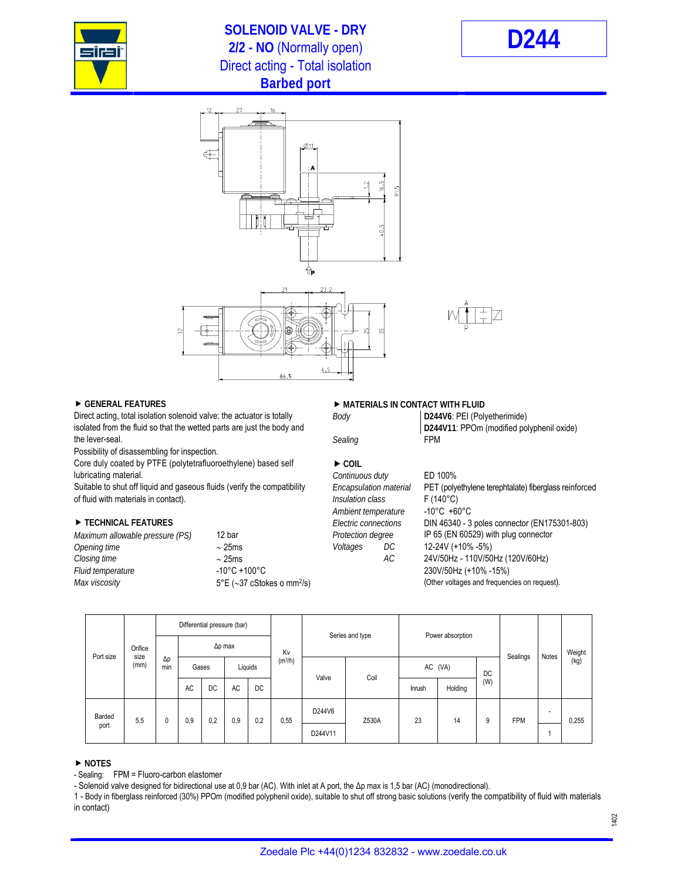

## **SOLENOID VALVE - DRY 2/2 - NO** (Normally open) **D244** Direct acting - Total isolation **Barbed port**





 $4.5$ 



Direct acting, total isolation solenoid valve: the actuator is totally *Body* isolated from the fluid so that the wetted parts are just the body and **D244V11**: PPOm (modified polyphenil oxide) the lever-seal. **FPM**  $\alpha$  **FPM**  $\alpha$ 

Possibility of disassembling for inspection.

Core duly coated by PTFE (polytetrafluoroethylene) based self **EXP** COIL lubricating material. *Continuous duty* ED 100%

of fluid with materials in contact). *Insulation class* F (140°C)

| Maximum allowable pressure (PS) | 12 bar                                          |
|---------------------------------|-------------------------------------------------|
| Opening time                    | $\sim$ 25ms                                     |
| Closing time                    | $\sim$ 25ms                                     |
| Fluid temperature               | $-10^{\circ}$ C +100 $^{\circ}$ C               |
| Max viscosity                   | $5^{\circ}E$ (~37 cStokes o mm <sup>2</sup> /s) |
|                                 |                                                 |

### ▶ GENERAL FEATURES **DESCRIPTION OF A SET AND A MATERIALS IN CONTACT WITH FLUID**

| D244V6: PEI (Polyetherimide)   |
|--------------------------------|
| D244V11: PPOm (modified polypl |
| <b>FDM</b>                     |

Suitable to shut off liquid and gaseous fluids (verify the compatibility *Encapsulation material* PET (polyethylene terephtalate) fiberglass reinforced *Ambient temperature* -10°C +60°C ■ TECHNICAL FEATURES *Electric connections* DIN 46340 - 3 poles connector (EN175301-803) *Protection degree* IP 65 (EN 60529) with plug connector *Opening time*  25ms *Voltages DC* 12-24V (+10% -5%) *Closing time*  25ms *AC* 24V/50Hz - 110V/50Hz (120V/60Hz) *Fluid temperature* -10°C +100°C 230V/50Hz (+10% -15%) (Other voltages and frequencies on request).

| Port size      | Orifice<br>size<br>(mm) | Differential pressure (bar) |                |       |                                |     |       |                 |         |                  |         |          |            |                          |        |
|----------------|-------------------------|-----------------------------|----------------|-------|--------------------------------|-----|-------|-----------------|---------|------------------|---------|----------|------------|--------------------------|--------|
|                |                         | $\Delta p$<br>min           | $\Delta p$ max |       |                                |     | Kv    | Series and type |         | Power absorption |         |          |            | Notes                    | Weight |
|                |                         |                             |                | Gases | (m <sup>3</sup> /h)<br>Liquids |     | Valve | Coil            | AC (VA) |                  | DC      | Sealings |            | (kg)                     |        |
|                |                         |                             | AC             | DC    | AC                             | DC  |       |                 |         | Inrush           | Holding | (W)      |            |                          |        |
| Barded<br>port | 5,5                     |                             | 0,9<br>0,2     |       | 0,9                            | 0,2 | 0,55  | D244V6          | Z530A   | 23               | 14      | 9        | <b>FPM</b> | $\overline{\phantom{a}}$ | 0,255  |
|                |                         |                             |                |       |                                |     |       | D244V11         |         |                  |         |          |            |                          |        |

### **NOTES**

- Sealing: FPM = Fluoro-carbon elastomer

- Solenoid valve designed for bidirectional use at 0,9 bar (AC). With inlet at A port, the Δp max is 1,5 bar (AC) (monodirectional).

1 - Body in fiberglass reinforced (30%) PPOm (modified polyphenil oxide), suitable to shut off strong basic solutions (verify the compatibility of fluid with materials in contact)